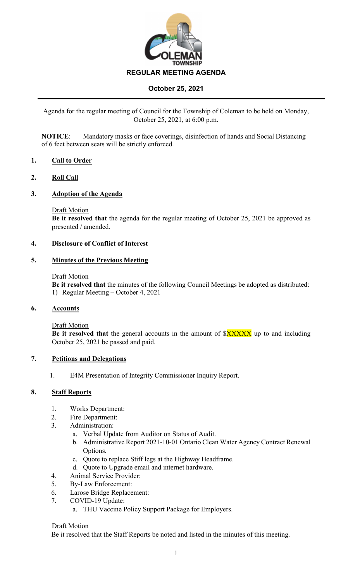

# **October 25, 2021**

Agenda for the regular meeting of Council for the Township of Coleman to be held on Monday, October 25, 2021, at 6:00 p.m.

**NOTICE**: Mandatory masks or face coverings, disinfection of hands and Social Distancing of 6 feet between seats will be strictly enforced.

# **1. Call to Order**

# **2. Roll Call**

# **3. Adoption of the Agenda**

### Draft Motion

**Be it resolved that** the agenda for the regular meeting of October 25, 2021 be approved as presented / amended.

# **4. Disclosure of Conflict of Interest**

# **5. Minutes of the Previous Meeting**

### Draft Motion

**Be it resolved that** the minutes of the following Council Meetings be adopted as distributed: 1) Regular Meeting – October 4, 2021

# **6. Accounts**

Draft Motion

**Be it resolved that** the general accounts in the amount of  $XXXXX$  up to and including October 25, 2021 be passed and paid.

# **7. Petitions and Delegations**

1. E4M Presentation of Integrity Commissioner Inquiry Report.

# **8. Staff Reports**

- 1. Works Department:
- 2. Fire Department:
- 3. Administration:
	- a. Verbal Update from Auditor on Status of Audit.
	- b. Administrative Report 2021-10-01 Ontario Clean Water Agency Contract Renewal Options.
	- c. Quote to replace Stiff legs at the Highway Headframe.
	- d. Quote to Upgrade email and internet hardware.
- 4. Animal Service Provider:
- 5. By-Law Enforcement:
- 6. Larose Bridge Replacement:
- 7. COVID-19 Update:
	- a. THU Vaccine Policy Support Package for Employers.

#### **Draft Motion**

Be it resolved that the Staff Reports be noted and listed in the minutes of this meeting.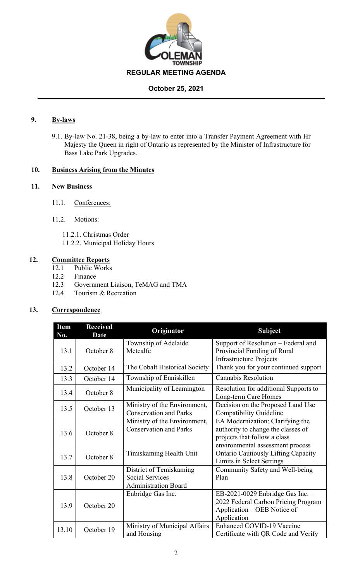

# **October 25, 2021**

# **9. By-laws**

9.1. By-law No. 21-38, being a by-law to enter into a Transfer Payment Agreement with Hr Majesty the Queen in right of Ontario as represented by the Minister of Infrastructure for Bass Lake Park Upgrades.

# **10. Business Arising from the Minutes**

# **11. New Business**

- 11.1. Conferences:
- 11.2. Motions:
	- 11.2.1. Christmas Order
	- 11.2.2. Municipal Holiday Hours

# **12. Committee Reports**

- 12.1 Public Works
- 12.2 Finance
- 12.3 Government Liaison, TeMAG and TMA
- 12.4 Tourism & Recreation

#### **13. Correspondence**

| <b>Item</b><br>No. | <b>Received</b><br><b>Date</b> | Originator                                                                       | <b>Subject</b>                                                                                                                             |
|--------------------|--------------------------------|----------------------------------------------------------------------------------|--------------------------------------------------------------------------------------------------------------------------------------------|
| 13.1               | October 8                      | Township of Adelaide<br>Metcalfe                                                 | Support of Resolution – Federal and<br>Provincial Funding of Rural                                                                         |
| 13.2               | October 14                     | The Cobalt Historical Society                                                    | <b>Infrastructure Projects</b><br>Thank you for your continued support                                                                     |
| 13.3               | October 14                     | Township of Enniskillen                                                          | <b>Cannabis Resolution</b>                                                                                                                 |
| 13.4               | October 8                      | Municipality of Leamington                                                       | Resolution for additional Supports to<br>Long-term Care Homes                                                                              |
| 13.5               | October 13                     | Ministry of the Environment,<br><b>Conservation and Parks</b>                    | Decision on the Proposed Land Use<br>Compatibility Guideline                                                                               |
| 13.6               | October 8                      | Ministry of the Environment,<br><b>Conservation and Parks</b>                    | EA Modernization: Clarifying the<br>authority to change the classes of<br>projects that follow a class<br>environmental assessment process |
| 13.7               | October 8                      | Timiskaming Health Unit                                                          | <b>Ontario Cautiously Lifting Capacity</b><br>Limits in Select Settings                                                                    |
| 13.8               | October 20                     | District of Temiskaming<br><b>Social Services</b><br><b>Administration Board</b> | Community Safety and Well-being<br>Plan                                                                                                    |
| 13.9               | October 20                     | Enbridge Gas Inc.                                                                | EB-2021-0029 Enbridge Gas Inc. $-$<br>2022 Federal Carbon Pricing Program<br>Application – OEB Notice of<br>Application                    |
| 13.10              | October 19                     | Ministry of Municipal Affairs<br>and Housing                                     | <b>Enhanced COVID-19 Vaccine</b><br>Certificate with QR Code and Verify                                                                    |